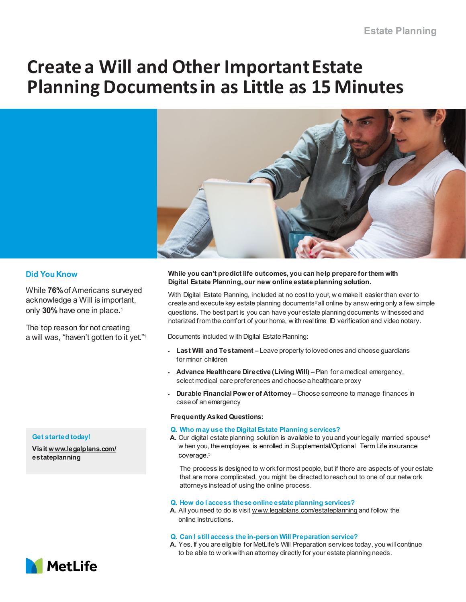# **Create a Will and Other Important Estate Planning Documents in as Little as 15 Minutes**



## **Did You Know**

While **76%** of Americans surveyed acknowledge a Will is important, only **30%** have one in place.1

The top reason for not creating a will was, "haven't gotten to it yet."1

### **While you can't predict life outcomes, you can help prepare for them with Digital Estate Planning, our new online estate planning solution.**

With Digital Estate Planning, included at no cost to you<sup>2</sup>, w e make it easier than ever to create and execute key estate planning documents<sup>3</sup> all online by answ ering only a few simple questions. The best part is you can have your estate planning documents w itnessed and notarized from the comfort of your home, w ith real time ID verification and video notary.

Documents included w ith Digital Estate Planning:

- **Last Will and Testament –** Leave property to loved ones and choose guardians for minor children
- **Advance Healthcare Directive (Living Will) –** Plan for a medical emergency, select medical care preferences and choose a healthcare proxy
- **Durable Financial Power of Attorney –** Choose someone to manage finances in case of an emergency

#### **Frequently Asked Questions:**

#### **Q. Who may use the Digital Estate Planning services?**

**A.** Our digital estate planning solution is available to you and your legally married spouse4 w hen you, the employee, is enrolled in Supplemental/Optional Term Life insurance coverage.<sup>5</sup>

The process is designed to w ork for most people, but if there are aspects of your estate that are more complicated, you might be directed to reach out to one of our netw ork attorneys instead of using the online process.

#### **Q. How do I access these online estate planning services?**

- **A.** All you need to do is visit [www.legalplans.com/estateplanning](http://www.legalplans.com/estateplanning) and follow the online instructions.
- **Q. Can I still access the in-person Will Preparation service?**
- **A.** Yes. If you are eligible for MetLife's Will Preparation services today, you will continue to be able to w ork with an attorney directly for your estate planning needs.

#### **Get started today!**

**Visit [www.legalplans.com/](http://www.legalplans.com/)  estateplanning**